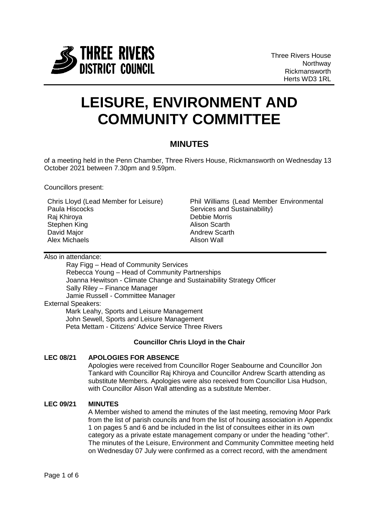

# **LEISURE, ENVIRONMENT AND COMMUNITY COMMITTEE**

# **MINUTES**

of a meeting held in the Penn Chamber, Three Rivers House, Rickmansworth on Wednesday 13 October 2021 between 7.30pm and 9.59pm.

Councillors present:

Chris Lloyd (Lead Member for Leisure) Paula Hiscocks Raj Khiroya Stephen King David Major Alex Michaels

Phil Williams (Lead Member Environmental Services and Sustainability) Debbie Morris Alison Scarth Andrew Scarth Alison Wall

Also in attendance:

Ray Figg – Head of Community Services Rebecca Young – Head of Community Partnerships Joanna Hewitson - Climate Change and Sustainability Strategy Officer Sally Riley – Finance Manager Jamie Russell - Committee Manager External Speakers:

Mark Leahy, Sports and Leisure Management John Sewell, Sports and Leisure Management Peta Mettam - Citizens' Advice Service Three Rivers

# **Councillor Chris Lloyd in the Chair**

# **LEC 08/21 APOLOGIES FOR ABSENCE**

Apologies were received from Councillor Roger Seabourne and Councillor Jon Tankard with Councillor Raj Khiroya and Councillor Andrew Scarth attending as substitute Members. Apologies were also received from Councillor Lisa Hudson, with Councillor Alison Wall attending as a substitute Member.

# **LEC 09/21 MINUTES**

A Member wished to amend the minutes of the last meeting, removing Moor Park from the list of parish councils and from the list of housing association in Appendix 1 on pages 5 and 6 and be included in the list of consultees either in its own category as a private estate management company or under the heading "other". The minutes of the Leisure, Environment and Community Committee meeting held on Wednesday 07 July were confirmed as a correct record, with the amendment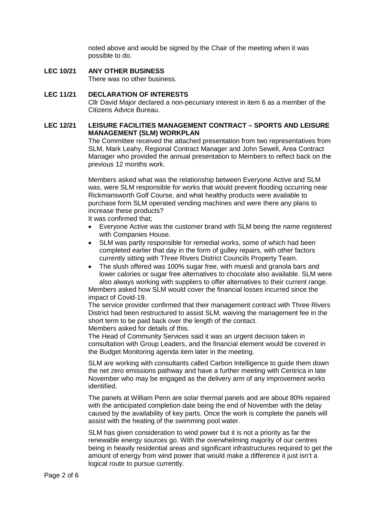noted above and would be signed by the Chair of the meeting when it was possible to do.

**LEC 10/21 ANY OTHER BUSINESS** There was no other business.

#### **LEC 11/21 DECLARATION OF INTERESTS**

Cllr David Major declared a non-pecuniary interest in item 6 as a member of the Citizens Advice Bureau.

# **LEC 12/21 LEISURE FACILITIES MANAGEMENT CONTRACT – SPORTS AND LEISURE MANAGEMENT (SLM) WORKPLAN**

The Committee received the attached presentation from two representatives from SLM, Mark Leahy, Regional Contract Manager and John Sewell, Area Contract Manager who provided the annual presentation to Members to reflect back on the previous 12 months work.

Members asked what was the relationship between Everyone Active and SLM was, were SLM responsible for works that would prevent flooding occurring near Rickmansworth Golf Course, and what healthy products were available to purchase form SLM operated vending machines and were there any plans to increase these products?

It was confirmed that;

- Everyone Active was the customer brand with SLM being the name registered with Companies House.
- SLM was partly responsible for remedial works, some of which had been completed earlier that day in the form of gulley repairs, with other factors currently sitting with Three Rivers District Councils Property Team.
- The slush offered was 100% sugar free, with muesli and granola bars and lower calories or sugar free alternatives to chocolate also available. SLM were also always working with suppliers to offer alternatives to their current range.

Members asked how SLM would cover the financial losses incurred since the impact of Covid-19.

The service provider confirmed that their management contract with Three Rivers District had been restructured to assist SLM, waiving the management fee in the short term to be paid back over the length of the contact. Members asked for details of this.

The Head of Community Services said it was an urgent decision taken in consultation with Group Leaders, and the financial element would be covered in the Budget Monitoring agenda item later in the meeting.

SLM are working with consultants called Carbon Intelligence to guide them down the net zero emissions pathway and have a further meeting with Centrica in late November who may be engaged as the delivery arm of any improvement works identified.

The panels at William Penn are solar thermal panels and are about 80% repaired with the anticipated completion date being the end of November with the delay caused by the availability of key parts. Once the work is complete the panels will assist with the heating of the swimming pool water.

SLM has given consideration to wind power but it is not a priority as far the renewable energy sources go. With the overwhelming majority of our centres being in heavily residential areas and significant infrastructures required to get the amount of energy from wind power that would make a difference it just isn't a logical route to pursue currently.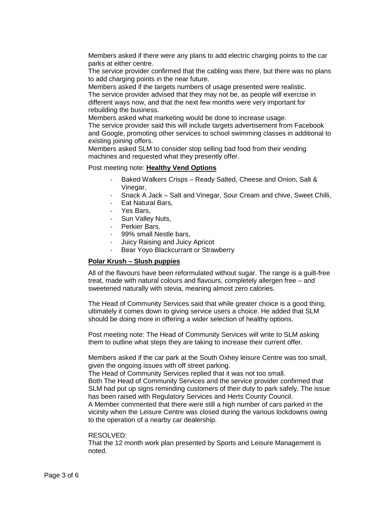Members asked if there were any plans to add electric charging points to the car parks at either centre.

The service provider confirmed that the cabling was there, but there was no plans to add charging points in the near future.

Members asked if the targets numbers of usage presented were realistic. The service provider advised that they may not be, as people will exercise in different ways now, and that the next few months were very important for rebuilding the business.

Members asked what marketing would be done to increase usage.

The service provider said this will include targets advertisement from Facebook and Google, promoting other services to school swimming classes in additional to existing joining offers.

Members asked SLM to consider stop selling bad food from their vending machines and requested what they presently offer.

#### Post meeting note: **Healthy Vend Options**

- Baked Walkers Crisps Ready Salted, Cheese and Onion, Salt & Vinegar,
- Snack A Jack Salt and Vinegar, Sour Cream and chive, Sweet Chilli,
- Eat Natural Bars,
- Yes Bars,
- Sun Valley Nuts,
- Perkier Bars,
- 99% small Nestle bars,
- Juicy Raising and Juicy Apricot
- Bear Yoyo Blackcurrant or Strawberry

#### **Polar Krush – Slush puppies**

All of the flavours have been reformulated without sugar. The range is a guilt-free treat, made with natural colours and flavours, completely allergen free – and sweetened naturally with stevia, meaning almost zero calories.

The Head of Community Services said that while greater choice is a good thing, ultimately it comes down to giving service users a choice. He added that SLM should be doing more in offering a wider selection of healthy options.

Post meeting note: The Head of Community Services will write to SLM asking them to outline what steps they are taking to increase their current offer.

Members asked if the car park at the South Oxhey leisure Centre was too small, given the ongoing issues with off street parking.

The Head of Community Services replied that it was not too small.

Both The Head of Community Services and the service provider confirmed that SLM had put up signs reminding customers of their duty to park safely. The issue has been raised with Regulatory Services and Herts County Council.

A Member commented that there were still a high number of cars parked in the vicinity when the Leisure Centre was closed during the various lockdowns owing to the operation of a nearby car dealership.

#### RESOLVED:

That the 12 month work plan presented by Sports and Leisure Management is noted.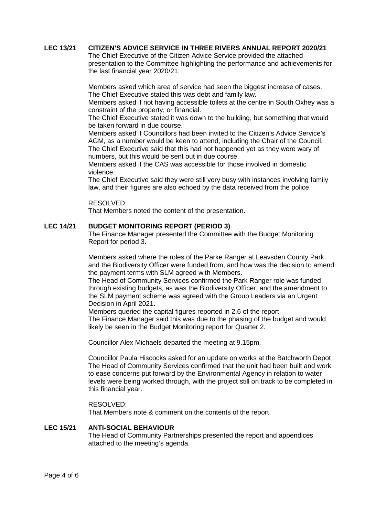#### **LEC 13/21 CITIZEN'S ADVICE SERVICE IN THREE RIVERS ANNUAL REPORT 2020/21**

The Chief Executive of the Citizen Advice Service provided the attached presentation to the Committee highlighting the performance and achievements for the last financial year 2020/21.

Members asked which area of service had seen the biggest increase of cases. The Chief Executive stated this was debt and family law.

Members asked if not having accessible toilets at the centre in South Oxhey was a constraint of the property, or financial.

The Chief Executive stated it was down to the building, but something that would be taken forward in due course.

Members asked if Councillors had been invited to the Citizen's Advice Service's AGM, as a number would be keen to attend, including the Chair of the Council. The Chief Executive said that this had not happened yet as they were wary of numbers, but this would be sent out in due course.

Members asked if the CAS was accessible for those involved in domestic violence.

The Chief Executive said they were still very busy with instances involving family law, and their figures are also echoed by the data received from the police.

#### RESOLVED:

That Members noted the content of the presentation.

#### **LEC 14/21 BUDGET MONITORING REPORT (PERIOD 3)**

The Finance Manager presented the Committee with the Budget Monitoring Report for period 3.

Members asked where the roles of the Parke Ranger at Leavsden County Park and the Biodiversity Officer were funded from, and how was the decision to amend the payment terms with SLM agreed with Members.

The Head of Community Services confirmed the Park Ranger role was funded through existing budgets, as was the Biodiversity Officer, and the amendment to the SLM payment scheme was agreed with the Group Leaders via an Urgent Decision in April 2021.

Members queried the capital figures reported in 2.6 of the report. The Finance Manager said this was due to the phasing of the budget and would likely be seen in the Budget Monitoring report for Quarter 2.

Councillor Alex Michaels departed the meeting at 9.15pm.

Councillor Paula Hiscocks asked for an update on works at the Batchworth Depot The Head of Community Services confirmed that the unit had been built and work to ease concerns put forward by the Environmental Agency in relation to water levels were being worked through, with the project still on track to be completed in this financial year.

#### RESOLVED:

That Members note & comment on the contents of the report

# **LEC 15/21 ANTI-SOCIAL BEHAVIOUR**

The Head of Community Partnerships presented the report and appendices attached to the meeting's agenda.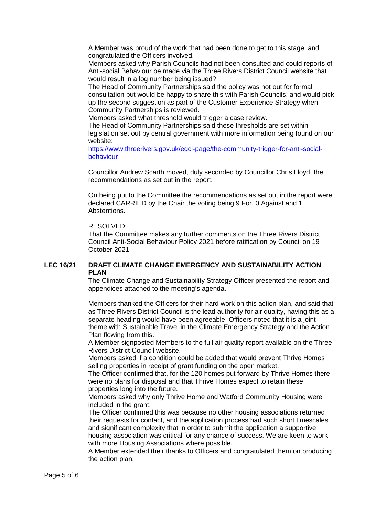A Member was proud of the work that had been done to get to this stage, and congratulated the Officers involved.

Members asked why Parish Councils had not been consulted and could reports of Anti-social Behaviour be made via the Three Rivers District Council website that would result in a log number being issued?

The Head of Community Partnerships said the policy was not out for formal consultation but would be happy to share this with Parish Councils, and would pick up the second suggestion as part of the Customer Experience Strategy when Community Partnerships is reviewed.

Members asked what threshold would trigger a case review.

The Head of Community Partnerships said these thresholds are set within legislation set out by central government with more information being found on our website:

[https://www.threerivers.gov.uk/egcl-page/the-community-trigger-for-anti-social](https://www.threerivers.gov.uk/egcl-page/the-community-trigger-for-anti-social-behaviour)[behaviour](https://www.threerivers.gov.uk/egcl-page/the-community-trigger-for-anti-social-behaviour)

Councillor Andrew Scarth moved, duly seconded by Councillor Chris Lloyd, the recommendations as set out in the report.

On being put to the Committee the recommendations as set out in the report were declared CARRIED by the Chair the voting being 9 For, 0 Against and 1 Abstentions.

#### RESOLVED:

That the Committee makes any further comments on the Three Rivers District Council Anti-Social Behaviour Policy 2021 before ratification by Council on 19 October 2021.

#### **LEC 16/21 DRAFT CLIMATE CHANGE EMERGENCY AND SUSTAINABILITY ACTION PLAN**

The Climate Change and Sustainability Strategy Officer presented the report and appendices attached to the meeting's agenda.

Members thanked the Officers for their hard work on this action plan, and said that as Three Rivers District Council is the lead authority for air quality, having this as a separate heading would have been agreeable. Officers noted that it is a joint theme with Sustainable Travel in the Climate Emergency Strategy and the Action Plan flowing from this.

A Member signposted Members to the full air quality report available on the Three Rivers District Council website.

Members asked if a condition could be added that would prevent Thrive Homes selling properties in receipt of grant funding on the open market.

The Officer confirmed that, for the 120 homes put forward by Thrive Homes there were no plans for disposal and that Thrive Homes expect to retain these properties long into the future.

Members asked why only Thrive Home and Watford Community Housing were included in the grant.

The Officer confirmed this was because no other housing associations returned their requests for contact, and the application process had such short timescales and significant complexity that in order to submit the application a supportive housing association was critical for any chance of success. We are keen to work with more Housing Associations where possible.

A Member extended their thanks to Officers and congratulated them on producing the action plan.